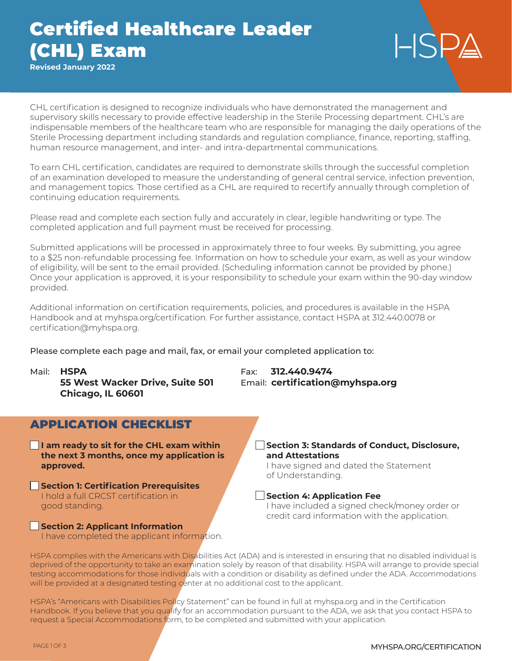# Certified Healthcare Leader (CHL) Exam

**Revised January 2022**

CHL certification is designed to recognize individuals who have demonstrated the management and supervisory skills necessary to provide effective leadership in the Sterile Processing department. CHL's are indispensable members of the healthcare team who are responsible for managing the daily operations of the Sterile Processing department including standards and regulation compliance, finance, reporting, staffing, human resource management, and inter- and intra-departmental communications.

To earn CHL certification, candidates are required to demonstrate skills through the successful completion of an examination developed to measure the understanding of general central service, infection prevention, and management topics. Those certified as a CHL are required to recertify annually through completion of continuing education requirements.

Please read and complete each section fully and accurately in clear, legible handwriting or type. The completed application and full payment must be received for processing.

Submitted applications will be processed in approximately three to four weeks. By submitting, you agree to a \$25 non-refundable processing fee. Information on how to schedule your exam, as well as your window of eligibility, will be sent to the email provided. (Scheduling information cannot be provided by phone.) Once your application is approved, it is your responsibility to schedule your exam within the 90-day window provided.

Additional information on certification requirements, policies, and procedures is available in the HSPA Handbook and at myhspa.org/certification. For further assistance, contact HSPA at 312.440.0078 or certification@myhspa.org.

Please complete each page and mail, fax, or email your completed application to:

**Chicago, IL 60601**

Mail: **HSPA** Fax: **312.440.9474 55 West Wacker Drive, Suite 501** Email: **certification@myhspa.org**

| <b>APPLICATION CHECKLIST</b>                                                                        |                                                                                                                                       |
|-----------------------------------------------------------------------------------------------------|---------------------------------------------------------------------------------------------------------------------------------------|
| I am ready to sit for the CHL exam within<br>the next 3 months, once my application is<br>approved. | <b>Section 3: Standards of Conduct, Disclosure,</b><br>and Attestations<br>I have signed and dated the Statement<br>of Understanding. |
| Section 1: Certification Prerequisites                                                              |                                                                                                                                       |
| I hold a full CRCST certification in<br>good standing.                                              | <b>Section 4: Application Fee</b><br>I have included a signed check/money order or<br>credit card information with the application.   |
| Section 2: Applicant Information<br>I have completed the applicant information.                     |                                                                                                                                       |

HSPA complies with the Americans with Disabilities Act (ADA) and is interested in ensuring that no disabled individual is deprived of the opportunity to take an examination solely by reason of that disability. HSPA will arrange to provide special testing accommodations for those individuals with a condition or disability as defined under the ADA. Accommodations will be provided at a designated testing center at no additional cost to the applicant.

HSPA's "Americans with Disabilities Policy Statement" can be found in full at myhspa.org and in the Certification Handbook. If you believe that you qualify for an accommodation pursuant to the ADA, we ask that you contact HSPA to request a Special Accommodations form, to be completed and submitted with your application.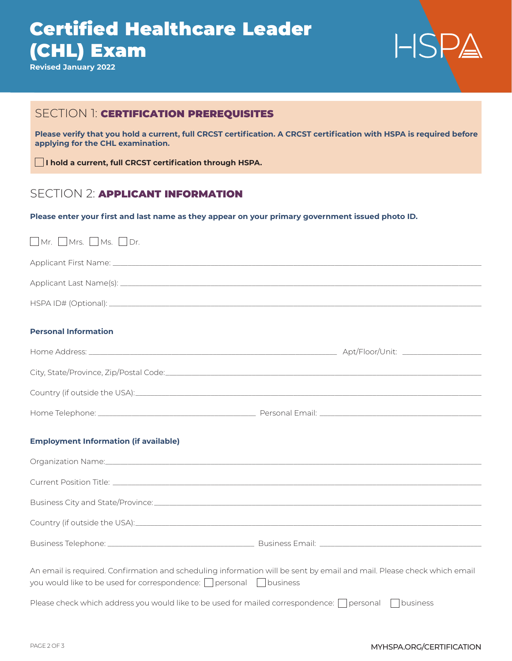# Certified Healthcare Leader (CHL) Exam

**Revised January 2022**



## SECTION 1: **CERTIFICATION PREREQUISITES**

**Please verify that you hold a current, full CRCST certification. A CRCST certification with HSPA is required before applying for the CHL examination.**

**I hold a current, full CRCST certification through HSPA.**

## SECTION 2: **APPLICANT INFORMATION**

**Please enter your first and last name as they appear on your primary government issued photo ID.**

| $\Box$ Mr. $\Box$ Mrs. $\Box$ Ms. $\Box$ Dr.                                                                                                                                                            |  |  |
|---------------------------------------------------------------------------------------------------------------------------------------------------------------------------------------------------------|--|--|
|                                                                                                                                                                                                         |  |  |
|                                                                                                                                                                                                         |  |  |
|                                                                                                                                                                                                         |  |  |
| <b>Personal Information</b>                                                                                                                                                                             |  |  |
|                                                                                                                                                                                                         |  |  |
|                                                                                                                                                                                                         |  |  |
|                                                                                                                                                                                                         |  |  |
|                                                                                                                                                                                                         |  |  |
| <b>Employment Information (if available)</b>                                                                                                                                                            |  |  |
| Organization Name: www.common.com/common/common/common/common/common/common/common/common/common/common/common                                                                                          |  |  |
|                                                                                                                                                                                                         |  |  |
|                                                                                                                                                                                                         |  |  |
|                                                                                                                                                                                                         |  |  |
|                                                                                                                                                                                                         |  |  |
| An email is required. Confirmation and scheduling information will be sent by email and mail. Please check which email<br>you would like to be used for correspondence: $\Box$ personal $\Box$ business |  |  |
| Please check which address you would like to be used for mailed correspondence: $\Box$ personal $\Box$ business                                                                                         |  |  |